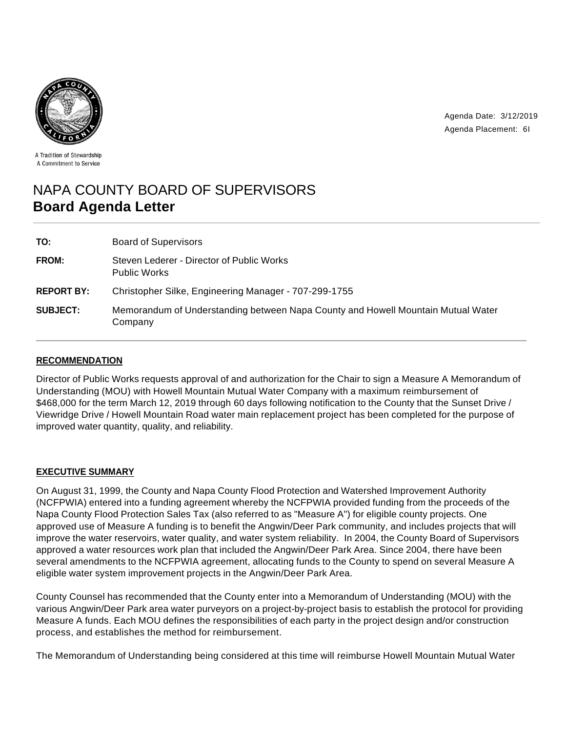

Agenda Date: 3/12/2019 Agenda Placement: 6I

A Tradition of Stewardship A Commitment to Service

# NAPA COUNTY BOARD OF SUPERVISORS **Board Agenda Letter**

| TO:               | <b>Board of Supervisors</b>                                                                 |
|-------------------|---------------------------------------------------------------------------------------------|
| FROM:             | Steven Lederer - Director of Public Works<br><b>Public Works</b>                            |
| <b>REPORT BY:</b> | Christopher Silke, Engineering Manager - 707-299-1755                                       |
| <b>SUBJECT:</b>   | Memorandum of Understanding between Napa County and Howell Mountain Mutual Water<br>Company |

## **RECOMMENDATION**

Director of Public Works requests approval of and authorization for the Chair to sign a Measure A Memorandum of Understanding (MOU) with Howell Mountain Mutual Water Company with a maximum reimbursement of \$468,000 for the term March 12, 2019 through 60 days following notification to the County that the Sunset Drive / Viewridge Drive / Howell Mountain Road water main replacement project has been completed for the purpose of improved water quantity, quality, and reliability.

## **EXECUTIVE SUMMARY**

On August 31, 1999, the County and Napa County Flood Protection and Watershed Improvement Authority (NCFPWIA) entered into a funding agreement whereby the NCFPWIA provided funding from the proceeds of the Napa County Flood Protection Sales Tax (also referred to as "Measure A") for eligible county projects. One approved use of Measure A funding is to benefit the Angwin/Deer Park community, and includes projects that will improve the water reservoirs, water quality, and water system reliability. In 2004, the County Board of Supervisors approved a water resources work plan that included the Angwin/Deer Park Area. Since 2004, there have been several amendments to the NCFPWIA agreement, allocating funds to the County to spend on several Measure A eligible water system improvement projects in the Angwin/Deer Park Area.

County Counsel has recommended that the County enter into a Memorandum of Understanding (MOU) with the various Angwin/Deer Park area water purveyors on a project-by-project basis to establish the protocol for providing Measure A funds. Each MOU defines the responsibilities of each party in the project design and/or construction process, and establishes the method for reimbursement.

The Memorandum of Understanding being considered at this time will reimburse Howell Mountain Mutual Water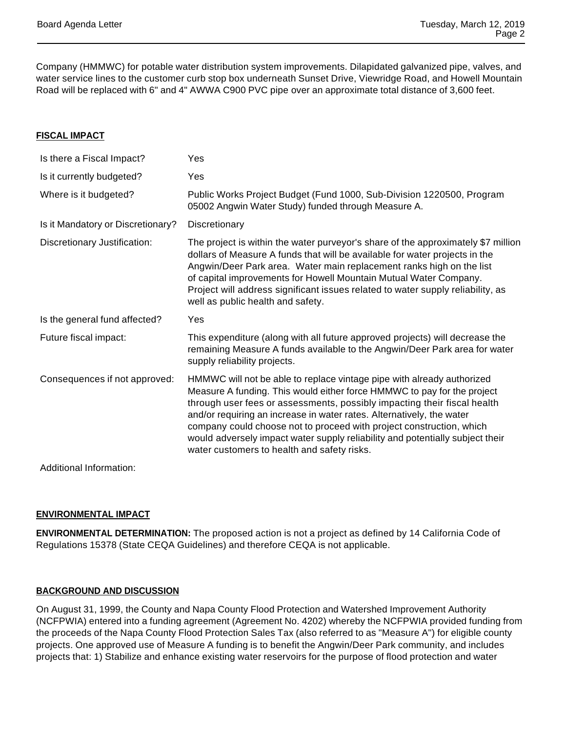Company (HMMWC) for potable water distribution system improvements. Dilapidated galvanized pipe, valves, and water service lines to the customer curb stop box underneath Sunset Drive, Viewridge Road, and Howell Mountain Road will be replaced with 6" and 4" AWWA C900 PVC pipe over an approximate total distance of 3,600 feet.

#### **FISCAL IMPACT**

| Is there a Fiscal Impact?         | Yes                                                                                                                                                                                                                                                                                                                                                                                                                                                                                                            |
|-----------------------------------|----------------------------------------------------------------------------------------------------------------------------------------------------------------------------------------------------------------------------------------------------------------------------------------------------------------------------------------------------------------------------------------------------------------------------------------------------------------------------------------------------------------|
| Is it currently budgeted?         | Yes                                                                                                                                                                                                                                                                                                                                                                                                                                                                                                            |
| Where is it budgeted?             | Public Works Project Budget (Fund 1000, Sub-Division 1220500, Program<br>05002 Angwin Water Study) funded through Measure A.                                                                                                                                                                                                                                                                                                                                                                                   |
| Is it Mandatory or Discretionary? | Discretionary                                                                                                                                                                                                                                                                                                                                                                                                                                                                                                  |
| Discretionary Justification:      | The project is within the water purveyor's share of the approximately \$7 million<br>dollars of Measure A funds that will be available for water projects in the<br>Angwin/Deer Park area. Water main replacement ranks high on the list<br>of capital improvements for Howell Mountain Mutual Water Company.<br>Project will address significant issues related to water supply reliability, as<br>well as public health and safety.                                                                          |
| Is the general fund affected?     | Yes                                                                                                                                                                                                                                                                                                                                                                                                                                                                                                            |
|                                   |                                                                                                                                                                                                                                                                                                                                                                                                                                                                                                                |
| Future fiscal impact:             | This expenditure (along with all future approved projects) will decrease the<br>remaining Measure A funds available to the Angwin/Deer Park area for water<br>supply reliability projects.                                                                                                                                                                                                                                                                                                                     |
| Consequences if not approved:     | HMMWC will not be able to replace vintage pipe with already authorized<br>Measure A funding. This would either force HMMWC to pay for the project<br>through user fees or assessments, possibly impacting their fiscal health<br>and/or requiring an increase in water rates. Alternatively, the water<br>company could choose not to proceed with project construction, which<br>would adversely impact water supply reliability and potentially subject their<br>water customers to health and safety risks. |

## **ENVIRONMENTAL IMPACT**

**ENVIRONMENTAL DETERMINATION:** The proposed action is not a project as defined by 14 California Code of Regulations 15378 (State CEQA Guidelines) and therefore CEQA is not applicable.

## **BACKGROUND AND DISCUSSION**

On August 31, 1999, the County and Napa County Flood Protection and Watershed Improvement Authority (NCFPWIA) entered into a funding agreement (Agreement No. 4202) whereby the NCFPWIA provided funding from the proceeds of the Napa County Flood Protection Sales Tax (also referred to as "Measure A") for eligible county projects. One approved use of Measure A funding is to benefit the Angwin/Deer Park community, and includes projects that: 1) Stabilize and enhance existing water reservoirs for the purpose of flood protection and water